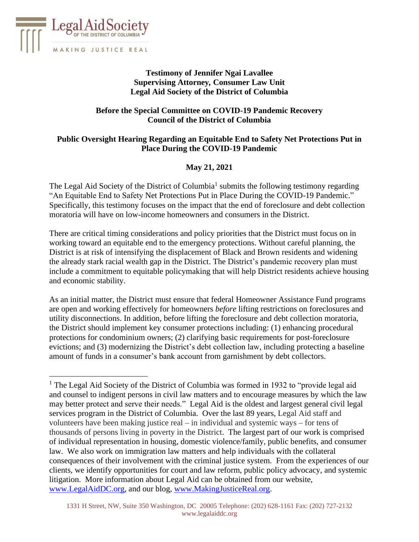

# **Testimony of Jennifer Ngai Lavallee Supervising Attorney***,* **Consumer Law Unit Legal Aid Society of the District of Columbia**

## **Before the Special Committee on COVID-19 Pandemic Recovery Council of the District of Columbia**

# **Public Oversight Hearing Regarding an Equitable End to Safety Net Protections Put in Place During the COVID-19 Pandemic**

# **May 21, 2021**

The Legal Aid Society of the District of Columbia<sup>1</sup> submits the following testimony regarding "An Equitable End to Safety Net Protections Put in Place During the COVID-19 Pandemic." Specifically, this testimony focuses on the impact that the end of foreclosure and debt collection moratoria will have on low-income homeowners and consumers in the District.

There are critical timing considerations and policy priorities that the District must focus on in working toward an equitable end to the emergency protections. Without careful planning, the District is at risk of intensifying the displacement of Black and Brown residents and widening the already stark racial wealth gap in the District. The District's pandemic recovery plan must include a commitment to equitable policymaking that will help District residents achieve housing and economic stability.

As an initial matter, the District must ensure that federal Homeowner Assistance Fund programs are open and working effectively for homeowners *before* lifting restrictions on foreclosures and utility disconnections. In addition, before lifting the foreclosure and debt collection moratoria, the District should implement key consumer protections including: (1) enhancing procedural protections for condominium owners; (2) clarifying basic requirements for post-foreclosure evictions; and (3) modernizing the District's debt collection law, including protecting a baseline amount of funds in a consumer's bank account from garnishment by debt collectors.

<sup>&</sup>lt;sup>1</sup> The Legal Aid Society of the District of Columbia was formed in 1932 to "provide legal aid and counsel to indigent persons in civil law matters and to encourage measures by which the law may better protect and serve their needs." Legal Aid is the oldest and largest general civil legal services program in the District of Columbia. Over the last 89 years, Legal Aid staff and volunteers have been making justice real – in individual and systemic ways – for tens of thousands of persons living in poverty in the District. The largest part of our work is comprised of individual representation in housing, domestic violence/family, public benefits, and consumer law. We also work on immigration law matters and help individuals with the collateral consequences of their involvement with the criminal justice system. From the experiences of our clients, we identify opportunities for court and law reform, public policy advocacy, and systemic litigation. More information about Legal Aid can be obtained from our website, [www.LegalAidDC.org,](http://www.legalaiddc.org/) and our blog, [www.MakingJusticeReal.org.](http://www.makingjusticereal.org/)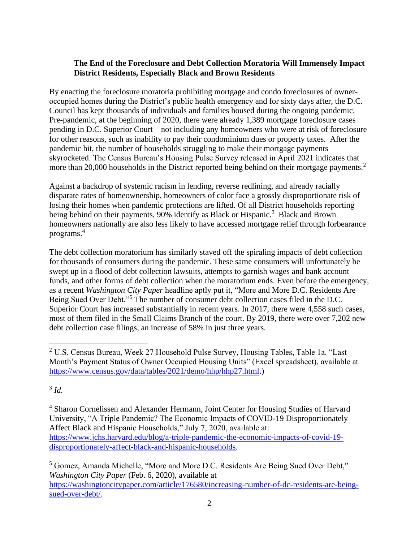### **The End of the Foreclosure and Debt Collection Moratoria Will Immensely Impact District Residents, Especially Black and Brown Residents**

By enacting the foreclosure moratoria prohibiting mortgage and condo foreclosures of owneroccupied homes during the District's public health emergency and for sixty days after, the D.C. Council has kept thousands of individuals and families housed during the ongoing pandemic. Pre-pandemic, at the beginning of 2020, there were already 1,389 mortgage foreclosure cases pending in D.C. Superior Court – not including any homeowners who were at risk of foreclosure for other reasons, such as inability to pay their condominium dues or property taxes. After the pandemic hit, the number of households struggling to make their mortgage payments skyrocketed. The Census Bureau's Housing Pulse Survey released in April 2021 indicates that more than 20,000 households in the District reported being behind on their mortgage payments.<sup>2</sup>

Against a backdrop of systemic racism in lending, reverse redlining, and already racially disparate rates of homeownership, homeowners of color face a grossly disproportionate risk of losing their homes when pandemic protections are lifted. Of all District households reporting being behind on their payments, 90% identify as Black or Hispanic.<sup>3</sup> Black and Brown homeowners nationally are also less likely to have accessed mortgage relief through forbearance programs.<sup>4</sup>

The debt collection moratorium has similarly staved off the spiraling impacts of debt collection for thousands of consumers during the pandemic. These same consumers will unfortunately be swept up in a flood of debt collection lawsuits, attempts to garnish wages and bank account funds, and other forms of debt collection when the moratorium ends. Even before the emergency, as a recent *Washington City Paper* headline aptly put it, "More and More D.C. Residents Are Being Sued Over Debt."<sup>5</sup> The number of consumer debt collection cases filed in the D.C. Superior Court has increased substantially in recent years. In 2017, there were 4,558 such cases, most of them filed in the Small Claims Branch of the court. By 2019, there were over 7,202 new debt collection case filings, an increase of 58% in just three years.

3 *Id.*

<sup>&</sup>lt;sup>2</sup> U.S. Census Bureau, Week 27 Household Pulse Survey, Housing Tables, Table 1a. "Last Month's Payment Status of Owner Occupied Housing Units" (Excel spreadsheet), available at [https://www.census.gov/data/tables/2021/demo/hhp/hhp27.html.](https://www.census.gov/data/tables/2021/demo/hhp/hhp27.html))

<sup>4</sup> Sharon Cornelissen and Alexander Hermann, Joint Center for Housing Studies of Harvard University, "A Triple Pandemic? The Economic Impacts of COVID-19 Disproportionately Affect Black and Hispanic Households," July 7, 2020, available at: [https://www.jchs.harvard.edu/blog/a-triple-pandemic-the-economic-impacts-of-covid-19](https://www.jchs.harvard.edu/blog/a-triple-pandemic-the-economic-impacts-of-covid-19-disproportionately-affect-black-and-hispanic-households) [disproportionately-affect-black-and-hispanic-households.](https://www.jchs.harvard.edu/blog/a-triple-pandemic-the-economic-impacts-of-covid-19-disproportionately-affect-black-and-hispanic-households)

<sup>5</sup> Gomez, Amanda Michelle, "More and More D.C. Residents Are Being Sued Over Debt," *Washington City Paper* (Feb. 6, 2020), available at [https://washingtoncitypaper.com/article/176580/increasing-number-of-dc-residents-are-being](https://washingtoncitypaper.com/article/176580/increasing-number-of-dc-residents-are-being-sued-over-debt/)[sued-over-debt/.](https://washingtoncitypaper.com/article/176580/increasing-number-of-dc-residents-are-being-sued-over-debt/)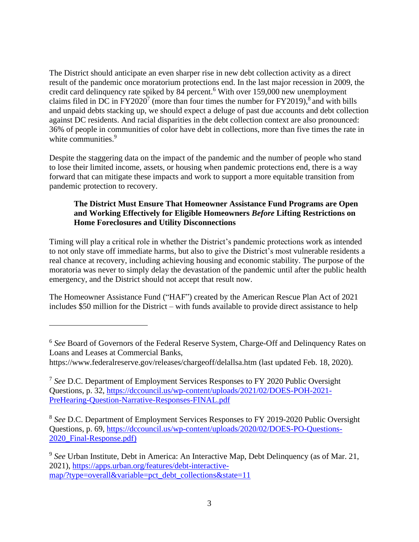The District should anticipate an even sharper rise in new debt collection activity as a direct result of the pandemic once moratorium protections end. In the last major recession in 2009, the credit card delinquency rate spiked by 84 percent.<sup>6</sup> With over 159,000 new unemployment claims filed in DC in  $FY2020^7$  (more than four times the number for  $FY2019$ ),  $\frac{8}{3}$  and with bills and unpaid debts stacking up, we should expect a deluge of past due accounts and debt collection against DC residents. And racial disparities in the debt collection context are also pronounced: 36% of people in communities of color have debt in collections, more than five times the rate in white communities.<sup>9</sup>

Despite the staggering data on the impact of the pandemic and the number of people who stand to lose their limited income, assets, or housing when pandemic protections end, there is a way forward that can mitigate these impacts and work to support a more equitable transition from pandemic protection to recovery.

# **The District Must Ensure That Homeowner Assistance Fund Programs are Open and Working Effectively for Eligible Homeowners** *Before* **Lifting Restrictions on Home Foreclosures and Utility Disconnections**

Timing will play a critical role in whether the District's pandemic protections work as intended to not only stave off immediate harms, but also to give the District's most vulnerable residents a real chance at recovery, including achieving housing and economic stability. The purpose of the moratoria was never to simply delay the devastation of the pandemic until after the public health emergency, and the District should not accept that result now.

The Homeowner Assistance Fund ("HAF") created by the American Rescue Plan Act of 2021 includes \$50 million for the District – with funds available to provide direct assistance to help

<sup>8</sup> See D.C. Department of Employment Services Responses to FY 2019-2020 Public Oversight Questions, p. 69, [https://dccouncil.us/wp-content/uploads/2020/02/DOES-PO-Questions-](https://dccouncil.us/wp-content/uploads/2020/02/DOES-PO-Questions-2020_Final-Response.pdf))2020 Final-Response.pdf)

<sup>&</sup>lt;sup>6</sup> See Board of Governors of the Federal Reserve System, Charge-Off and Delinquency Rates on Loans and Leases at Commercial Banks,

https://www.federalreserve.gov/releases/chargeoff/delallsa.htm (last updated Feb. 18, 2020).

<sup>7</sup> *See* D.C. Department of Employment Services Responses to FY 2020 Public Oversight Questions, p. 32, [https://dccouncil.us/wp-content/uploads/2021/02/DOES-POH-2021-](https://dccouncil.us/wp-content/uploads/2021/02/DOES-POH-2021-PreHearing-Question-Narrative-Responses-FINAL.pdf) [PreHearing-Question-Narrative-Responses-FINAL.pdf](https://dccouncil.us/wp-content/uploads/2021/02/DOES-POH-2021-PreHearing-Question-Narrative-Responses-FINAL.pdf)

<sup>&</sup>lt;sup>9</sup> See Urban Institute, Debt in America: An Interactive Map, Debt Delinquency (as of Mar. 21, 2021), [https://apps.urban.org/features/debt-interactive](https://apps.urban.org/features/debt-interactive-map/?type=overall&variable=pct_debt_collections&state=11)[map/?type=overall&variable=pct\\_debt\\_collections&state=11](https://apps.urban.org/features/debt-interactive-map/?type=overall&variable=pct_debt_collections&state=11)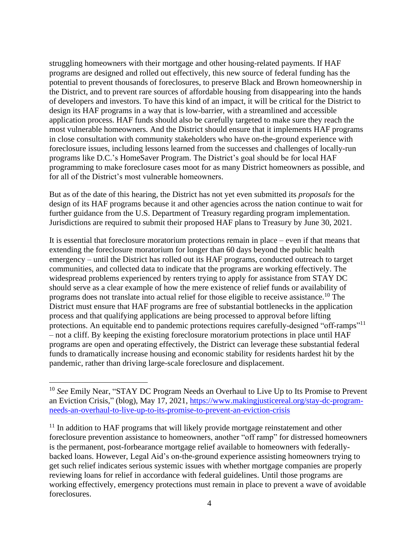struggling homeowners with their mortgage and other housing-related payments. If HAF programs are designed and rolled out effectively, this new source of federal funding has the potential to prevent thousands of foreclosures, to preserve Black and Brown homeownership in the District, and to prevent rare sources of affordable housing from disappearing into the hands of developers and investors. To have this kind of an impact, it will be critical for the District to design its HAF programs in a way that is low-barrier, with a streamlined and accessible application process. HAF funds should also be carefully targeted to make sure they reach the most vulnerable homeowners. And the District should ensure that it implements HAF programs in close consultation with community stakeholders who have on-the-ground experience with foreclosure issues, including lessons learned from the successes and challenges of locally-run programs like D.C.'s HomeSaver Program. The District's goal should be for local HAF programming to make foreclosure cases moot for as many District homeowners as possible, and for all of the District's most vulnerable homeowners.

But as of the date of this hearing, the District has not yet even submitted its *proposals* for the design of its HAF programs because it and other agencies across the nation continue to wait for further guidance from the U.S. Department of Treasury regarding program implementation. Jurisdictions are required to submit their proposed HAF plans to Treasury by June 30, 2021.

It is essential that foreclosure moratorium protections remain in place – even if that means that extending the foreclosure moratorium for longer than 60 days beyond the public health emergency – until the District has rolled out its HAF programs, conducted outreach to target communities, and collected data to indicate that the programs are working effectively. The widespread problems experienced by renters trying to apply for assistance from STAY DC should serve as a clear example of how the mere existence of relief funds or availability of programs does not translate into actual relief for those eligible to receive assistance.<sup>10</sup> The District must ensure that HAF programs are free of substantial bottlenecks in the application process and that qualifying applications are being processed to approval before lifting protections. An equitable end to pandemic protections requires carefully-designed "off-ramps"<sup>11</sup> – not a cliff. By keeping the existing foreclosure moratorium protections in place until HAF programs are open and operating effectively, the District can leverage these substantial federal funds to dramatically increase housing and economic stability for residents hardest hit by the pandemic, rather than driving large-scale foreclosure and displacement.

<sup>&</sup>lt;sup>10</sup> See Emily Near, "STAY DC Program Needs an Overhaul to Live Up to Its Promise to Prevent an Eviction Crisis," (blog), May 17, 2021, [https://www.makingjusticereal.org/stay-dc-program](https://www.makingjusticereal.org/stay-dc-program-needs-an-overhaul-to-live-up-to-its-promise-to-prevent-an-eviction-crisis)[needs-an-overhaul-to-live-up-to-its-promise-to-prevent-an-eviction-crisis](https://www.makingjusticereal.org/stay-dc-program-needs-an-overhaul-to-live-up-to-its-promise-to-prevent-an-eviction-crisis)

 $11$  In addition to HAF programs that will likely provide mortgage reinstatement and other foreclosure prevention assistance to homeowners, another "off ramp" for distressed homeowners is the permanent, post-forbearance mortgage relief available to homeowners with federallybacked loans. However, Legal Aid's on-the-ground experience assisting homeowners trying to get such relief indicates serious systemic issues with whether mortgage companies are properly reviewing loans for relief in accordance with federal guidelines. Until those programs are working effectively, emergency protections must remain in place to prevent a wave of avoidable foreclosures.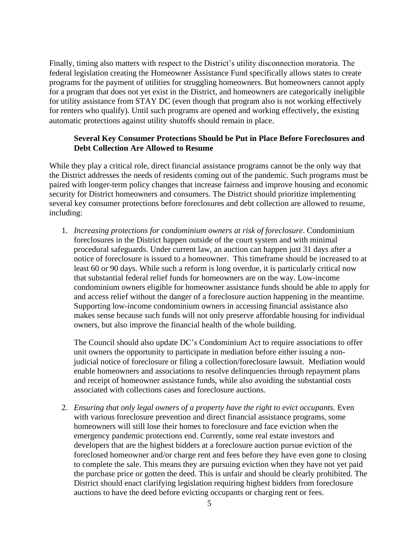Finally, timing also matters with respect to the District's utility disconnection moratoria. The federal legislation creating the Homeowner Assistance Fund specifically allows states to create programs for the payment of utilities for struggling homeowners. But homeowners cannot apply for a program that does not yet exist in the District, and homeowners are categorically ineligible for utility assistance from STAY DC (even though that program also is not working effectively for renters who qualify). Until such programs are opened and working effectively, the existing automatic protections against utility shutoffs should remain in place.

### **Several Key Consumer Protections Should be Put in Place Before Foreclosures and Debt Collection Are Allowed to Resume**

While they play a critical role, direct financial assistance programs cannot be the only way that the District addresses the needs of residents coming out of the pandemic. Such programs must be paired with longer-term policy changes that increase fairness and improve housing and economic security for District homeowners and consumers. The District should prioritize implementing several key consumer protections before foreclosures and debt collection are allowed to resume, including:

1. *Increasing protections for condominium owners at risk of foreclosure*. Condominium foreclosures in the District happen outside of the court system and with minimal procedural safeguards. Under current law, an auction can happen just 31 days after a notice of foreclosure is issued to a homeowner. This timeframe should be increased to at least 60 or 90 days. While such a reform is long overdue, it is particularly critical now that substantial federal relief funds for homeowners are on the way. Low-income condominium owners eligible for homeowner assistance funds should be able to apply for and access relief without the danger of a foreclosure auction happening in the meantime. Supporting low-income condominium owners in accessing financial assistance also makes sense because such funds will not only preserve affordable housing for individual owners, but also improve the financial health of the whole building.

The Council should also update DC's Condominium Act to require associations to offer unit owners the opportunity to participate in mediation before either issuing a nonjudicial notice of foreclosure or filing a collection/foreclosure lawsuit. Mediation would enable homeowners and associations to resolve delinquencies through repayment plans and receipt of homeowner assistance funds, while also avoiding the substantial costs associated with collections cases and foreclosure auctions.

2. *Ensuring that only legal owners of a property have the right to evict occupants.* Even with various foreclosure prevention and direct financial assistance programs, some homeowners will still lose their homes to foreclosure and face eviction when the emergency pandemic protections end. Currently, some real estate investors and developers that are the highest bidders at a foreclosure auction pursue eviction of the foreclosed homeowner and/or charge rent and fees before they have even gone to closing to complete the sale. This means they are pursuing eviction when they have not yet paid the purchase price or gotten the deed. This is unfair and should be clearly prohibited. The District should enact clarifying legislation requiring highest bidders from foreclosure auctions to have the deed before evicting occupants or charging rent or fees.